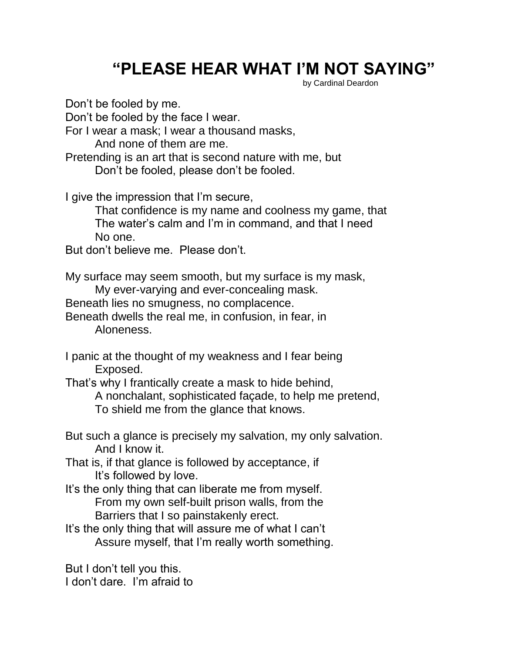## **"PLEASE HEAR WHAT I'M NOT SAYING"**

by Cardinal Deardon

Don't be fooled by me. Don't be fooled by the face I wear. For I wear a mask; I wear a thousand masks, And none of them are me. Pretending is an art that is second nature with me, but Don't be fooled, please don't be fooled. I give the impression that I'm secure, That confidence is my name and coolness my game, that The water's calm and I'm in command, and that I need No one. But don't believe me. Please don't. My surface may seem smooth, but my surface is my mask, My ever-varying and ever-concealing mask. Beneath lies no smugness, no complacence. Beneath dwells the real me, in confusion, in fear, in Aloneness. I panic at the thought of my weakness and I fear being Exposed. That's why I frantically create a mask to hide behind, A nonchalant, sophisticated façade, to help me pretend, To shield me from the glance that knows. But such a glance is precisely my salvation, my only salvation. And I know it. That is, if that glance is followed by acceptance, if It's followed by love. It's the only thing that can liberate me from myself. From my own self-built prison walls, from the Barriers that I so painstakenly erect. It's the only thing that will assure me of what I can't Assure myself, that I'm really worth something.

But I don't tell you this. I don't dare. I'm afraid to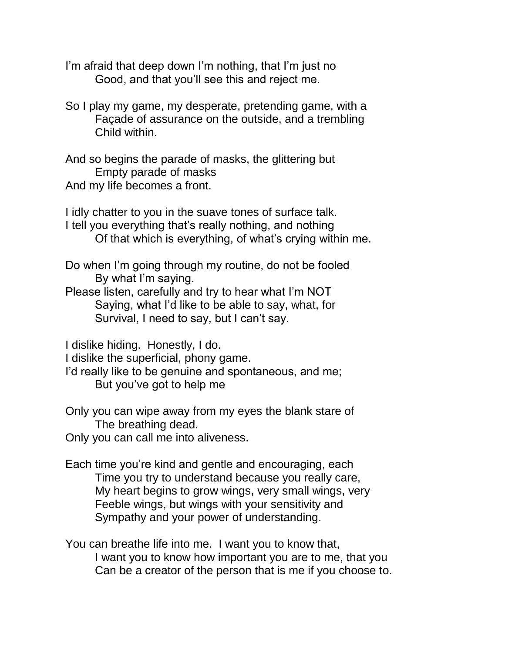I'm afraid that deep down I'm nothing, that I'm just no Good, and that you'll see this and reject me.

So I play my game, my desperate, pretending game, with a Façade of assurance on the outside, and a trembling Child within.

And so begins the parade of masks, the glittering but Empty parade of masks And my life becomes a front.

I idly chatter to you in the suave tones of surface talk. I tell you everything that's really nothing, and nothing Of that which is everything, of what's crying within me.

Do when I'm going through my routine, do not be fooled By what I'm saying.

Please listen, carefully and try to hear what I'm NOT Saying, what I'd like to be able to say, what, for Survival, I need to say, but I can't say.

I dislike hiding. Honestly, I do.

I dislike the superficial, phony game.

I'd really like to be genuine and spontaneous, and me; But you've got to help me

Only you can wipe away from my eyes the blank stare of The breathing dead.

Only you can call me into aliveness.

Each time you're kind and gentle and encouraging, each Time you try to understand because you really care, My heart begins to grow wings, very small wings, very Feeble wings, but wings with your sensitivity and Sympathy and your power of understanding.

You can breathe life into me. I want you to know that, I want you to know how important you are to me, that you Can be a creator of the person that is me if you choose to.